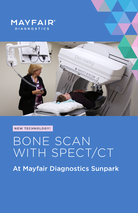



**NEW TECHNOLOGY!**

## BONE SCAN WITH SPECT/CT

At Mayfair Diagnostics Sunpark